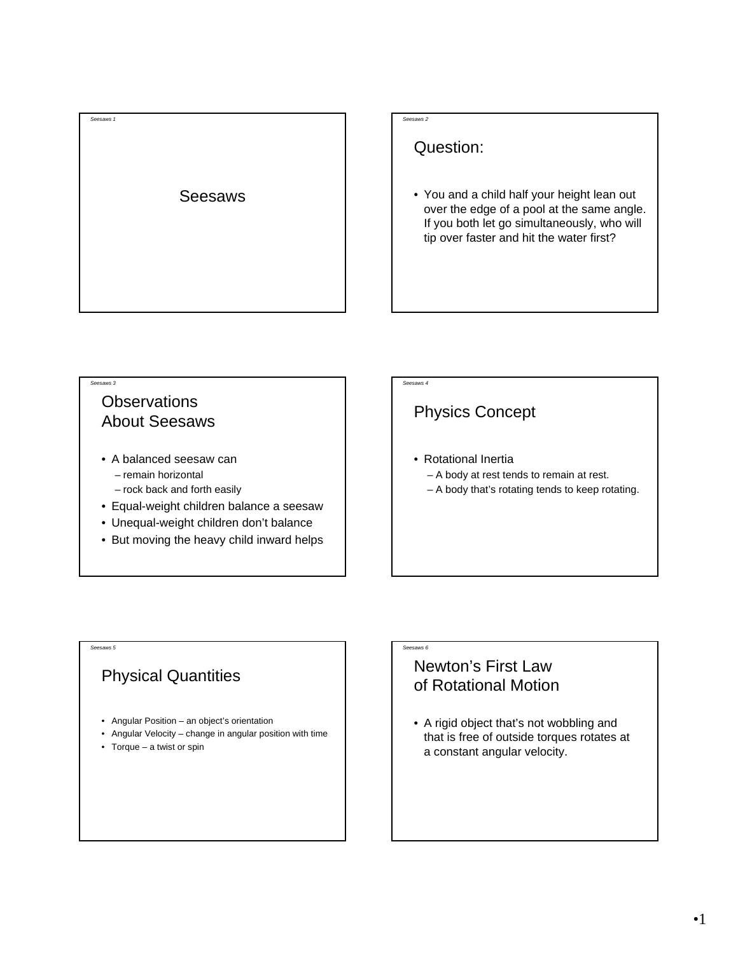

#### *Seesaws 2*

Question:

• You and a child half your height lean out over the edge of a pool at the same angle. If you both let go simultaneously, who will tip over faster and hit the water first?

# **Observations**

*Seesaws 3*

About Seesaws

- A balanced seesaw can – remain horizontal
	- rock back and forth easily
- Equal-weight children balance a seesaw
- Unequal-weight children don't balance
- But moving the heavy child inward helps

#### *Seesaws 4*

*Seesaws 6*

### Physics Concept

- Rotational Inertia
	- A body at rest tends to remain at rest.
	- A body that's rotating tends to keep rotating.

# Physical Quantities

*Seesaws 5*

- Angular Position an object's orientation
- Angular Velocity change in angular position with time
- Torque a twist or spin

## Newton's First Law of Rotational Motion

• A rigid object that's not wobbling and that is free of outside torques rotates at a constant angular velocity.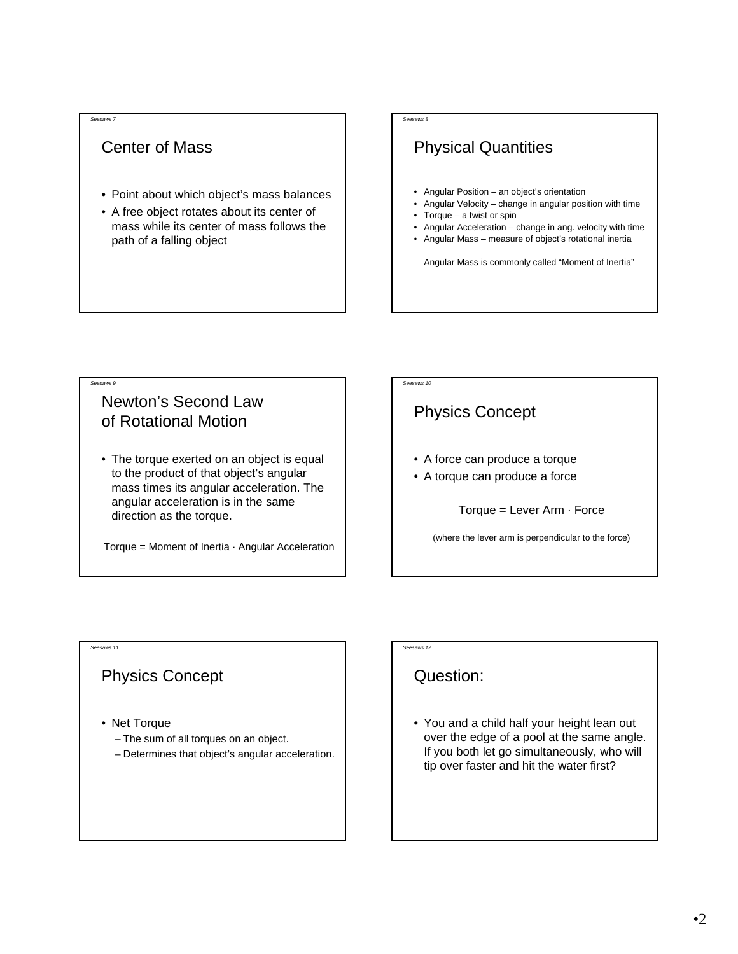#### *Seesaws 7*

### Center of Mass

- Point about which object's mass balances
- A free object rotates about its center of mass while its center of mass follows the path of a falling object

#### *Seesaws 8*

## Physical Quantities

- Angular Position an object's orientation
- Angular Velocity change in angular position with time
- Torque  $-$  a twist or spin
- Angular Acceleration change in ang. velocity with time
- Angular Mass measure of object's rotational inertia

Angular Mass is commonly called "Moment of Inertia"

## Newton's Second Law of Rotational Motion

• The torque exerted on an object is equal to the product of that object's angular mass times its angular acceleration. The angular acceleration is in the same direction as the torque.

Torque = Moment of Inertia  $\cdot$  Angular Acceleration

#### *Seesaws 10*

## Physics Concept

- A force can produce a torque
- A torque can produce a force

Torque = Lever Arm · Force

(where the lever arm is perpendicular to the force)

#### *Seesaws 11*

*Seesaws 9*

#### Physics Concept

- Net Torque
	- The sum of all torques on an object.
	- Determines that object's angular acceleration.

*Seesaws 12*

#### Question:

• You and a child half your height lean out over the edge of a pool at the same angle. If you both let go simultaneously, who will tip over faster and hit the water first?